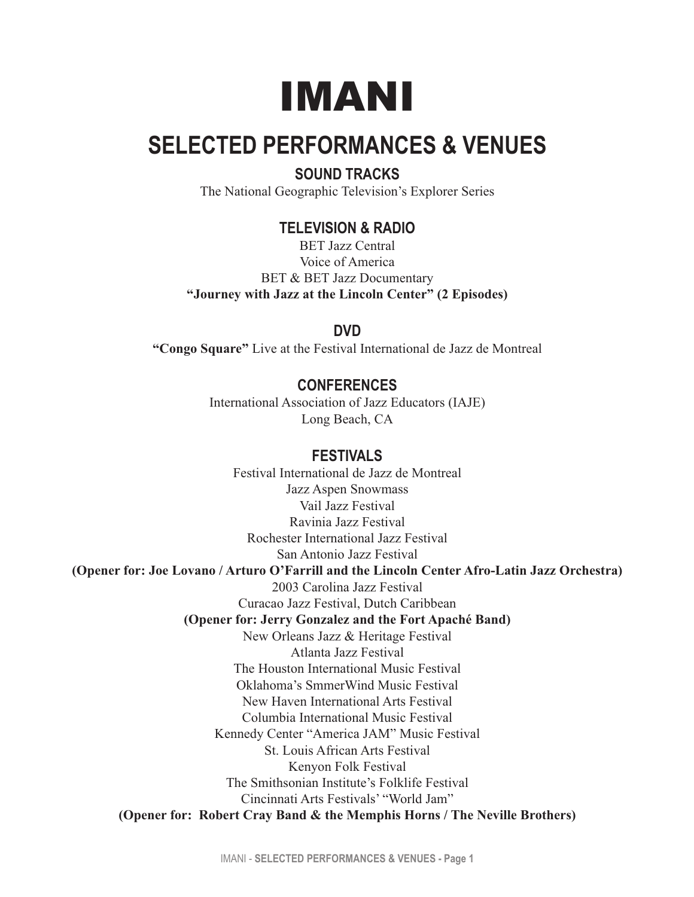# IMANI

# **SELECTED PERFORMANCES & VENUES**

### **SOUND TRACKS**

The National Geographic Television's Explorer Series

#### **TELEVISION & RADIO**

BET Jazz Central Voice of America BET & BET Jazz Documentary **"Journey with Jazz at the Lincoln Center" (2 Episodes)**

#### **DVD**

**"Congo Square"** Live at the Festival International de Jazz de Montreal

## **CONFERENCES**

International Association of Jazz Educators (IAJE) Long Beach, CA

#### **FESTIVALS**

Festival International de Jazz de Montreal Jazz Aspen Snowmass Vail Jazz Festival Ravinia Jazz Festival Rochester International Jazz Festival San Antonio Jazz Festival **(Opener for: Joe Lovano / Arturo O'Farrill and the Lincoln Center Afro-Latin Jazz Orchestra)** 2003 Carolina Jazz Festival Curacao Jazz Festival, Dutch Caribbean **(Opener for: Jerry Gonzalez and the Fort Apaché Band)** New Orleans Jazz & Heritage Festival Atlanta Jazz Festival The Houston International Music Festival Oklahoma's SmmerWind Music Festival New Haven International Arts Festival Columbia International Music Festival Kennedy Center "America JAM" Music Festival St. Louis African Arts Festival Kenyon Folk Festival The Smithsonian Institute's Folklife Festival Cincinnati Arts Festivals' "World Jam" **(Opener for: Robert Cray Band & the Memphis Horns / The Neville Brothers)**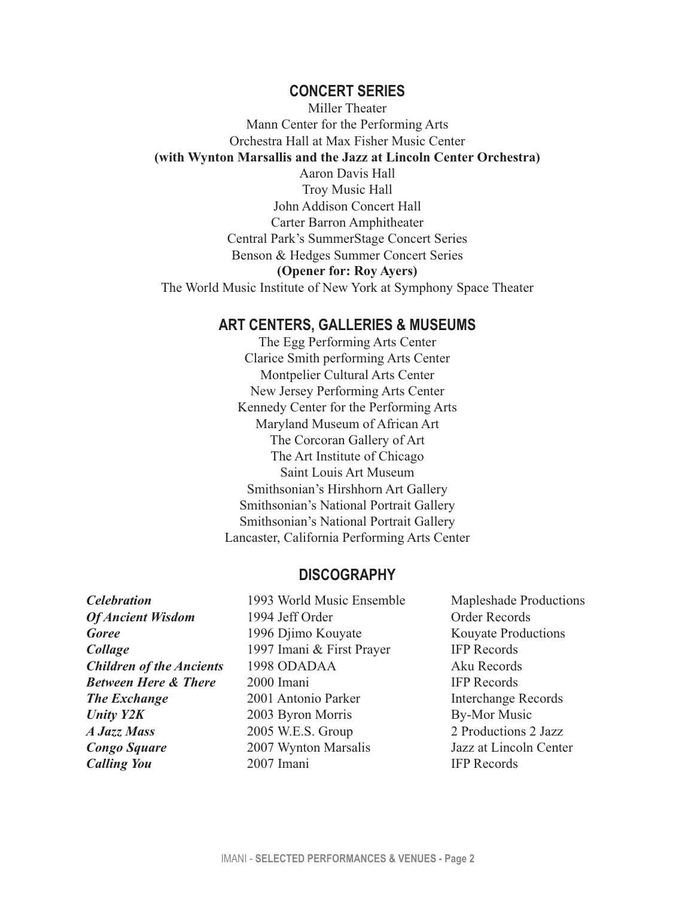#### **CONCERT SERIES**

Miller Theater Mann Center for the Performing Arts Orchestra Hall at Max Fisher Music Center **(with Wynton Marsallis and the Jazz at Lincoln Center Orchestra)** Aaron Davis Hall Troy Music Hall John Addison Concert Hall Carter Barron Amphitheater Central Park's SummerStage Concert Series Benson & Hedges Summer Concert Series **(Opener for: Roy Ayers)** The World Music Institute of New York at Symphony Space Theater

#### **ART CENTERS, GALLERIES & MUSEUMS**

The Egg Performing Arts Center Clarice Smith performing Arts Center Montpelier Cultural Arts Center New Jersey Performing Arts Center Kennedy Center for the Performing Arts Maryland Museum of African Art The Corcoran Gallery of Art The Art Institute of Chicago Saint Louis Art Museum Smithsonian's Hirshhorn Art Gallery Smithsonian's National Portrait Gallery Smithsonian's National Portrait Gallery Lancaster, California Performing Arts Center

#### **DISCOGRAPHY**

*Celebration* 1993 World Music Ensemble Mapleshade Productions

**Of Ancient Wisdom** 1994 Jeff Order **1994 Jeff Order Records Goree** 1996 Djimo Kouyate Kouyate Productions **Collage** 1997 Imani & First Prayer IFP Records **Children of the Ancients** 1998 ODADAA Aku Records *Between Here & There* 2000 Imani IFP Records **The Exchange** 2001 Antonio Parker Interchange Records *Unity Y2K* 2003 Byron Morris By-Mor Music *A Jazz Mass* 2005 W.E.S. Group 2 Productions 2 Jazz **Congo Square** 2007 Wynton Marsalis Jazz at Lincoln Center **Calling You** 2007 Imani IFP Records